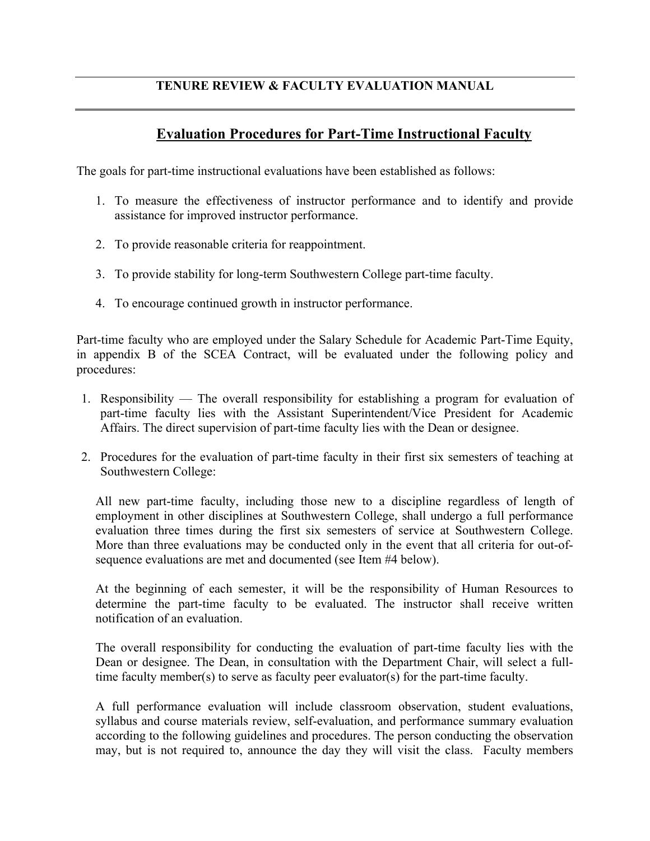## **TENURE REVIEW & FACULTY EVALUATION MANUAL**

## **Evaluation Procedures for Part-Time Instructional Faculty**

The goals for part-time instructional evaluations have been established as follows:

- 1. To measure the effectiveness of instructor performance and to identify and provide assistance for improved instructor performance.
- 2. To provide reasonable criteria for reappointment.
- 3. To provide stability for long-term Southwestern College part-time faculty.
- 4. To encourage continued growth in instructor performance.

Part-time faculty who are employed under the Salary Schedule for Academic Part-Time Equity, in appendix B of the SCEA Contract, will be evaluated under the following policy and procedures:

- 1. Responsibility The overall responsibility for establishing a program for evaluation of part-time faculty lies with the Assistant Superintendent/Vice President for Academic Affairs. The direct supervision of part-time faculty lies with the Dean or designee.
- 2. Procedures for the evaluation of part-time faculty in their first six semesters of teaching at Southwestern College:

All new part-time faculty, including those new to a discipline regardless of length of employment in other disciplines at Southwestern College, shall undergo a full performance evaluation three times during the first six semesters of service at Southwestern College. More than three evaluations may be conducted only in the event that all criteria for out-ofsequence evaluations are met and documented (see Item #4 below).

At the beginning of each semester, it will be the responsibility of Human Resources to determine the part-time faculty to be evaluated. The instructor shall receive written notification of an evaluation.

The overall responsibility for conducting the evaluation of part-time faculty lies with the Dean or designee. The Dean, in consultation with the Department Chair, will select a fulltime faculty member(s) to serve as faculty peer evaluator(s) for the part-time faculty.

A full performance evaluation will include classroom observation, student evaluations, syllabus and course materials review, self-evaluation, and performance summary evaluation according to the following guidelines and procedures. The person conducting the observation may, but is not required to, announce the day they will visit the class. Faculty members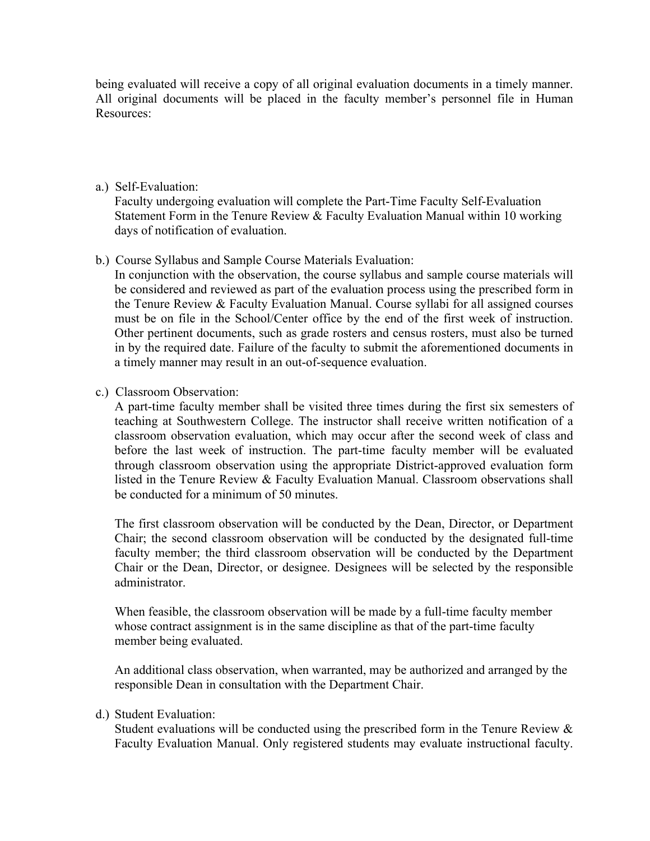being evaluated will receive a copy of all original evaluation documents in a timely manner. All original documents will be placed in the faculty member's personnel file in Human Resources:

a.) Self-Evaluation:

Faculty undergoing evaluation will complete the Part-Time Faculty Self-Evaluation Statement Form in the Tenure Review & Faculty Evaluation Manual within 10 working days of notification of evaluation.

b.) Course Syllabus and Sample Course Materials Evaluation:

In conjunction with the observation, the course syllabus and sample course materials will be considered and reviewed as part of the evaluation process using the prescribed form in the Tenure Review & Faculty Evaluation Manual. Course syllabi for all assigned courses must be on file in the School/Center office by the end of the first week of instruction. Other pertinent documents, such as grade rosters and census rosters, must also be turned in by the required date. Failure of the faculty to submit the aforementioned documents in a timely manner may result in an out-of-sequence evaluation.

c.) Classroom Observation:

A part-time faculty member shall be visited three times during the first six semesters of teaching at Southwestern College. The instructor shall receive written notification of a classroom observation evaluation, which may occur after the second week of class and before the last week of instruction. The part-time faculty member will be evaluated through classroom observation using the appropriate District-approved evaluation form listed in the Tenure Review & Faculty Evaluation Manual. Classroom observations shall be conducted for a minimum of 50 minutes.

The first classroom observation will be conducted by the Dean, Director, or Department Chair; the second classroom observation will be conducted by the designated full-time faculty member; the third classroom observation will be conducted by the Department Chair or the Dean, Director, or designee. Designees will be selected by the responsible administrator.

When feasible, the classroom observation will be made by a full-time faculty member whose contract assignment is in the same discipline as that of the part-time faculty member being evaluated.

An additional class observation, when warranted, may be authorized and arranged by the responsible Dean in consultation with the Department Chair.

d.) Student Evaluation:

Student evaluations will be conducted using the prescribed form in the Tenure Review  $\&$ Faculty Evaluation Manual. Only registered students may evaluate instructional faculty.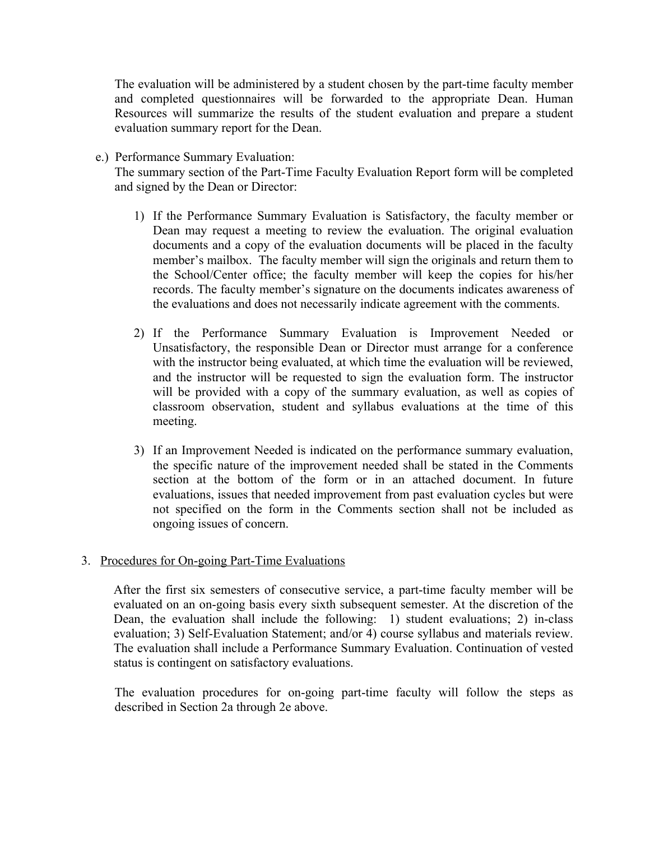The evaluation will be administered by a student chosen by the part-time faculty member and completed questionnaires will be forwarded to the appropriate Dean. Human Resources will summarize the results of the student evaluation and prepare a student evaluation summary report for the Dean.

e.) Performance Summary Evaluation:

The summary section of the Part-Time Faculty Evaluation Report form will be completed and signed by the Dean or Director:

- 1) If the Performance Summary Evaluation is Satisfactory, the faculty member or Dean may request a meeting to review the evaluation. The original evaluation documents and a copy of the evaluation documents will be placed in the faculty member's mailbox. The faculty member will sign the originals and return them to the School/Center office; the faculty member will keep the copies for his/her records. The faculty member's signature on the documents indicates awareness of the evaluations and does not necessarily indicate agreement with the comments.
- 2) If the Performance Summary Evaluation is Improvement Needed or Unsatisfactory, the responsible Dean or Director must arrange for a conference with the instructor being evaluated, at which time the evaluation will be reviewed, and the instructor will be requested to sign the evaluation form. The instructor will be provided with a copy of the summary evaluation, as well as copies of classroom observation, student and syllabus evaluations at the time of this meeting.
- 3) If an Improvement Needed is indicated on the performance summary evaluation, the specific nature of the improvement needed shall be stated in the Comments section at the bottom of the form or in an attached document. In future evaluations, issues that needed improvement from past evaluation cycles but were not specified on the form in the Comments section shall not be included as ongoing issues of concern.

## 3. Procedures for On-going Part-Time Evaluations

After the first six semesters of consecutive service, a part-time faculty member will be evaluated on an on-going basis every sixth subsequent semester. At the discretion of the Dean, the evaluation shall include the following: 1) student evaluations; 2) in-class evaluation; 3) Self-Evaluation Statement; and/or 4) course syllabus and materials review. The evaluation shall include a Performance Summary Evaluation. Continuation of vested status is contingent on satisfactory evaluations.

The evaluation procedures for on-going part-time faculty will follow the steps as described in Section 2a through 2e above.